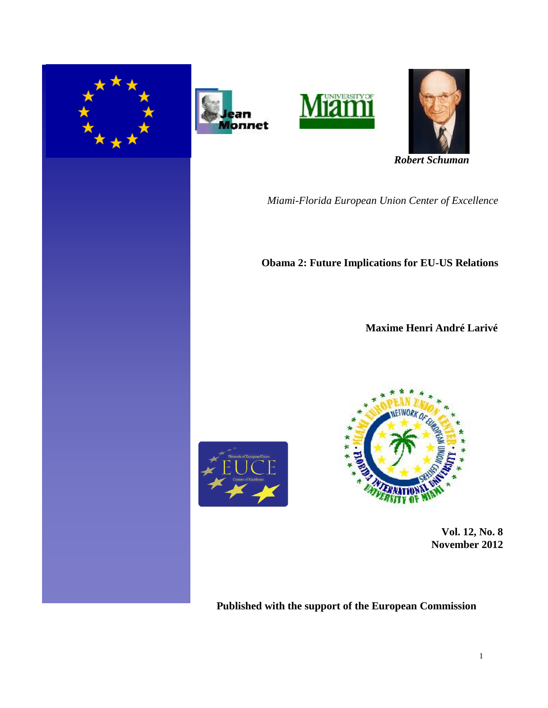







 *Robert Schuman* 

*Miami-Florida European Union Center of Excellence*

**Obama 2: Future Implications for EU-US Relations** 

 **Maxime Henri André Larivé**





 **Vol. 12, No. 8 November 2012** 

**Published with the support of the European Commission**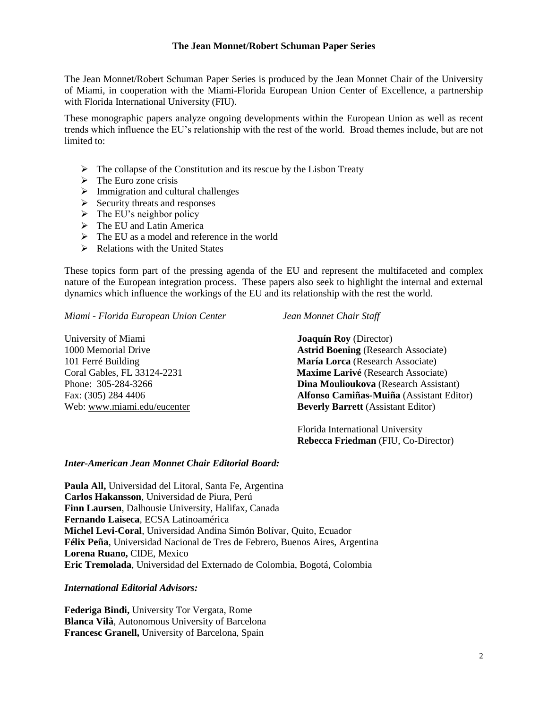### **The Jean Monnet/Robert Schuman Paper Series**

The Jean Monnet/Robert Schuman Paper Series is produced by the Jean Monnet Chair of the University of Miami, in cooperation with the Miami-Florida European Union Center of Excellence, a partnership with Florida International University (FIU).

These monographic papers analyze ongoing developments within the European Union as well as recent trends which influence the EU's relationship with the rest of the world. Broad themes include, but are not limited to:

- $\triangleright$  The collapse of the Constitution and its rescue by the Lisbon Treaty
- $\triangleright$  The Euro zone crisis
- $\triangleright$  Immigration and cultural challenges
- $\triangleright$  Security threats and responses
- $\triangleright$  The EU's neighbor policy
- $\triangleright$  The EU and Latin America
- $\triangleright$  The EU as a model and reference in the world
- $\triangleright$  Relations with the United States

These topics form part of the pressing agenda of the EU and represent the multifaceted and complex nature of the European integration process. These papers also seek to highlight the internal and external dynamics which influence the workings of the EU and its relationship with the rest the world.

*Miami - Florida European Union Center Jean Monnet Chair Staff*

University of Miami **Joaquín Roy** (Director) 1000 Memorial Drive **Astrid Boening** (Research Associate) 101 Ferré Building **María Lorca** (Research Associate) Coral Gables, FL 33124-2231 **Maxime Larivé** (Research Associate) Phone: 305-284-3266 **Dina Moulioukova** (Research Assistant) Fax: (305) 284 4406 **Alfonso Camiñas-Muiña** (Assistant Editor) Web: [www.miami.edu/eucenter](http://www.miami.edu/eucenter) **Beverly Barrett** (Assistant Editor)

> Florida International University  **Rebecca Friedman** (FIU, Co-Director)

## *Inter-American Jean Monnet Chair Editorial Board:*

**Paula All,** Universidad del Litoral, Santa Fe, Argentina **Carlos Hakansson**, Universidad de Piura, Perú **Finn Laursen**, Dalhousie University, Halifax, Canada **Fernando Laiseca**, ECSA Latinoamérica **Michel Levi-Coral**, Universidad Andina Simón Bolívar, Quito, Ecuador **Félix Peña**, Universidad Nacional de Tres de Febrero, Buenos Aires, Argentina **Lorena Ruano,** CIDE, Mexico **Eric Tremolada**, Universidad del Externado de Colombia, Bogotá, Colombia

*International Editorial Advisors:*

**Federiga Bindi,** University Tor Vergata, Rome **Blanca Vilà**, Autonomous University of Barcelona **Francesc Granell,** University of Barcelona, Spain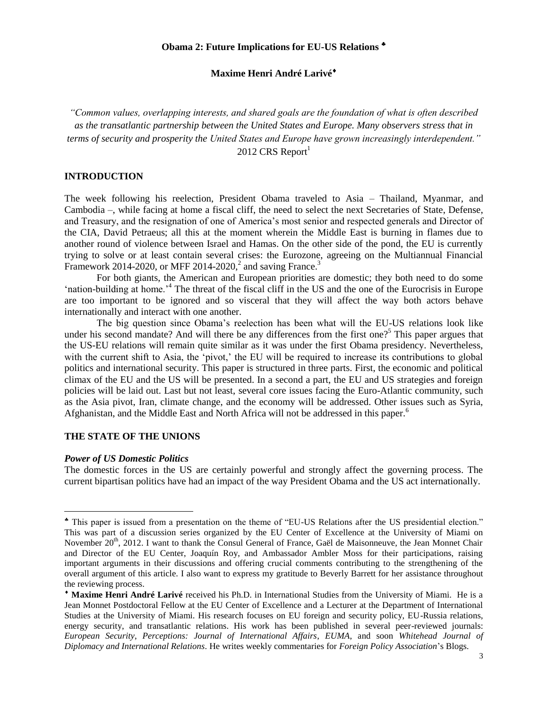# **Maxime Henri André Larivé**

*"Common values, overlapping interests, and shared goals are the foundation of what is often described as the transatlantic partnership between the United States and Europe. Many observers stress that in terms of security and prosperity the United States and Europe have grown increasingly interdependent."* 2012 CRS Report $1$ 

## **INTRODUCTION**

The week following his reelection, President Obama traveled to Asia – Thailand, Myanmar, and Cambodia –, while facing at home a fiscal cliff, the need to select the next Secretaries of State, Defense, and Treasury, and the resignation of one of America's most senior and respected generals and Director of the CIA, David Petraeus; all this at the moment wherein the Middle East is burning in flames due to another round of violence between Israel and Hamas. On the other side of the pond, the EU is currently trying to solve or at least contain several crises: the Eurozone, agreeing on the Multiannual Financial Framework 2014-2020, or MFF 2014-2020, $^2$  and saving France.<sup>3</sup>

For both giants, the American and European priorities are domestic; they both need to do some 'nation-building at home.'<sup>4</sup> The threat of the fiscal cliff in the US and the one of the Eurocrisis in Europe are too important to be ignored and so visceral that they will affect the way both actors behave internationally and interact with one another.

The big question since Obama's reelection has been what will the EU-US relations look like under his second mandate? And will there be any differences from the first one?<sup>5</sup> This paper argues that the US-EU relations will remain quite similar as it was under the first Obama presidency. Nevertheless, with the current shift to Asia, the 'pivot,' the EU will be required to increase its contributions to global politics and international security. This paper is structured in three parts. First, the economic and political climax of the EU and the US will be presented. In a second a part, the EU and US strategies and foreign policies will be laid out. Last but not least, several core issues facing the Euro-Atlantic community, such as the Asia pivot, Iran, climate change, and the economy will be addressed. Other issues such as Syria, Afghanistan, and the Middle East and North Africa will not be addressed in this paper.<sup>6</sup>

#### **THE STATE OF THE UNIONS**

### *Power of US Domestic Politics*

 $\overline{\phantom{a}}$ 

The domestic forces in the US are certainly powerful and strongly affect the governing process. The current bipartisan politics have had an impact of the way President Obama and the US act internationally.

This paper is issued from a presentation on the theme of "EU-US Relations after the US presidential election." This was part of a discussion series organized by the EU Center of Excellence at the University of Miami on November 20<sup>th</sup>, 2012. I want to thank the Consul General of France, Gaël de Maisonneuve, the Jean Monnet Chair and Director of the EU Center, Joaquín Roy, and Ambassador Ambler Moss for their participations, raising important arguments in their discussions and offering crucial comments contributing to the strengthening of the overall argument of this article. I also want to express my gratitude to Beverly Barrett for her assistance throughout the reviewing process.

**Maxime Henri André Larivé** received his Ph.D. in International Studies from the University of Miami. He is a Jean Monnet Postdoctoral Fellow at the EU Center of Excellence and a Lecturer at the Department of International Studies at the University of Miami. His research focuses on EU foreign and security policy, EU-Russia relations, energy security, and transatlantic relations. His work has been published in several peer-reviewed journals: *European Security*, *Perceptions: Journal of International Affairs*, *EUMA*, and soon *Whitehead Journal of Diplomacy and International Relations*. He writes weekly commentaries for *Foreign Policy Association*'s Blogs.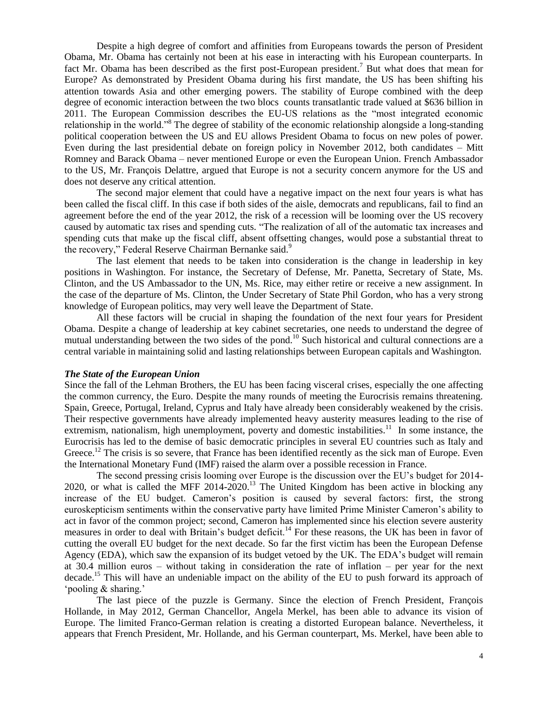Despite a high degree of comfort and affinities from Europeans towards the person of President Obama, Mr. Obama has certainly not been at his ease in interacting with his European counterparts. In fact Mr. Obama has been described as the first post-European president.<sup>7</sup> But what does that mean for Europe? As demonstrated by President Obama during his first mandate, the US has been shifting his attention towards Asia and other emerging powers. The stability of Europe combined with the deep degree of economic interaction between the two blocs counts transatlantic trade valued at \$636 billion in 2011. The European Commission describes the EU-US relations as the "most integrated economic relationship in the world."<sup>8</sup> The degree of stability of the economic relationship alongside a long-standing political cooperation between the US and EU allows President Obama to focus on new poles of power. Even during the last presidential debate on foreign policy in November 2012, both candidates – Mitt Romney and Barack Obama – never mentioned Europe or even the European Union. French Ambassador to the US, Mr. François Delattre, argued that Europe is not a security concern anymore for the US and does not deserve any critical attention.

The second major element that could have a negative impact on the next four years is what has been called the fiscal cliff. In this case if both sides of the aisle, democrats and republicans, fail to find an agreement before the end of the year 2012, the risk of a recession will be looming over the US recovery caused by automatic tax rises and spending cuts. "The realization of all of the automatic tax increases and spending cuts that make up the fiscal cliff, absent offsetting changes, would pose a substantial threat to the recovery," Federal Reserve Chairman Bernanke said.<sup>9</sup>

The last element that needs to be taken into consideration is the change in leadership in key positions in Washington. For instance, the Secretary of Defense, Mr. Panetta, Secretary of State, Ms. Clinton, and the US Ambassador to the UN, Ms. Rice, may either retire or receive a new assignment. In the case of the departure of Ms. Clinton, the Under Secretary of State Phil Gordon, who has a very strong knowledge of European politics, may very well leave the Department of State.

All these factors will be crucial in shaping the foundation of the next four years for President Obama. Despite a change of leadership at key cabinet secretaries, one needs to understand the degree of mutual understanding between the two sides of the pond.<sup>10</sup> Such historical and cultural connections are a central variable in maintaining solid and lasting relationships between European capitals and Washington.

#### *The State of the European Union*

Since the fall of the Lehman Brothers, the EU has been facing visceral crises, especially the one affecting the common currency, the Euro. Despite the many rounds of meeting the Eurocrisis remains threatening. Spain, Greece, Portugal, Ireland, Cyprus and Italy have already been considerably weakened by the crisis. Their respective governments have already implemented heavy austerity measures leading to the rise of extremism, nationalism, high unemployment, poverty and domestic instabilities.<sup>11</sup> In some instance, the Eurocrisis has led to the demise of basic democratic principles in several EU countries such as Italy and Greece.<sup>12</sup> The crisis is so severe, that France has been identified recently as the sick man of Europe. Even the International Monetary Fund (IMF) raised the alarm over a possible recession in France.

The second pressing crisis looming over Europe is the discussion over the EU's budget for 2014- 2020, or what is called the MFF 2014-2020.<sup>13</sup> The United Kingdom has been active in blocking any increase of the EU budget. Cameron's position is caused by several factors: first, the strong euroskepticism sentiments within the conservative party have limited Prime Minister Cameron's ability to act in favor of the common project; second, Cameron has implemented since his election severe austerity measures in order to deal with Britain's budget deficit.<sup>14</sup> For these reasons, the UK has been in favor of cutting the overall EU budget for the next decade. So far the first victim has been the European Defense Agency (EDA), which saw the expansion of its budget vetoed by the UK. The EDA's budget will remain at 30.4 million euros – without taking in consideration the rate of inflation – per year for the next decade.<sup>15</sup> This will have an undeniable impact on the ability of the EU to push forward its approach of 'pooling & sharing.'

The last piece of the puzzle is Germany. Since the election of French President, François Hollande, in May 2012, German Chancellor, Angela Merkel, has been able to advance its vision of Europe. The limited Franco-German relation is creating a distorted European balance. Nevertheless, it appears that French President, Mr. Hollande, and his German counterpart, Ms. Merkel, have been able to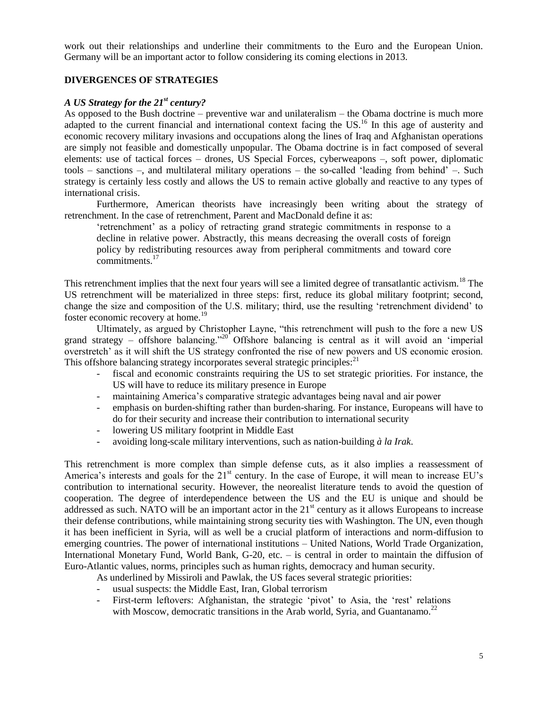work out their relationships and underline their commitments to the Euro and the European Union. Germany will be an important actor to follow considering its coming elections in 2013.

## **DIVERGENCES OF STRATEGIES**

## *A US Strategy for the 21st century?*

As opposed to the Bush doctrine – preventive war and unilateralism – the Obama doctrine is much more adapted to the current financial and international context facing the US.<sup>16</sup> In this age of austerity and economic recovery military invasions and occupations along the lines of Iraq and Afghanistan operations are simply not feasible and domestically unpopular. The Obama doctrine is in fact composed of several elements: use of tactical forces – drones, US Special Forces, cyberweapons –, soft power, diplomatic tools – sanctions –, and multilateral military operations – the so-called 'leading from behind' –. Such strategy is certainly less costly and allows the US to remain active globally and reactive to any types of international crisis.

Furthermore, American theorists have increasingly been writing about the strategy of retrenchment. In the case of retrenchment, Parent and MacDonald define it as:

'retrenchment' as a policy of retracting grand strategic commitments in response to a decline in relative power. Abstractly, this means decreasing the overall costs of foreign policy by redistributing resources away from peripheral commitments and toward core commitments.<sup>17</sup>

This retrenchment implies that the next four years will see a limited degree of transatlantic activism.<sup>18</sup> The US retrenchment will be materialized in three steps: first, reduce its global military footprint; second, change the size and composition of the U.S. military; third, use the resulting 'retrenchment dividend' to foster economic recovery at home.<sup>19</sup>

Ultimately, as argued by Christopher Layne, "this retrenchment will push to the fore a new US grand strategy – offshore balancing."<sup>20</sup> Offshore balancing is central as it will avoid an 'imperial overstretch' as it will shift the US strategy confronted the rise of new powers and US economic erosion. This offshore balancing strategy incorporates several strategic principles:<sup>21</sup>

- fiscal and economic constraints requiring the US to set strategic priorities. For instance, the US will have to reduce its military presence in Europe
- maintaining America's comparative strategic advantages being naval and air power
- emphasis on burden-shifting rather than burden-sharing. For instance, Europeans will have to do for their security and increase their contribution to international security
- lowering US military footprint in Middle East
- avoiding long-scale military interventions, such as nation-building *à la Irak*.

This retrenchment is more complex than simple defense cuts, as it also implies a reassessment of America's interests and goals for the 21<sup>st</sup> century. In the case of Europe, it will mean to increase EU's contribution to international security. However, the neorealist literature tends to avoid the question of cooperation. The degree of interdependence between the US and the EU is unique and should be addressed as such. NATO will be an important actor in the 21<sup>st</sup> century as it allows Europeans to increase their defense contributions, while maintaining strong security ties with Washington. The UN, even though it has been inefficient in Syria, will as well be a crucial platform of interactions and norm-diffusion to emerging countries. The power of international institutions – United Nations, World Trade Organization, International Monetary Fund, World Bank, G-20, etc. – is central in order to maintain the diffusion of Euro-Atlantic values, norms, principles such as human rights, democracy and human security.

As underlined by Missiroli and Pawlak, the US faces several strategic priorities:

- usual suspects: the Middle East, Iran, Global terrorism
- First-term leftovers: Afghanistan, the strategic 'pivot' to Asia, the 'rest' relations with Moscow, democratic transitions in the Arab world, Syria, and Guantanamo.<sup>22</sup>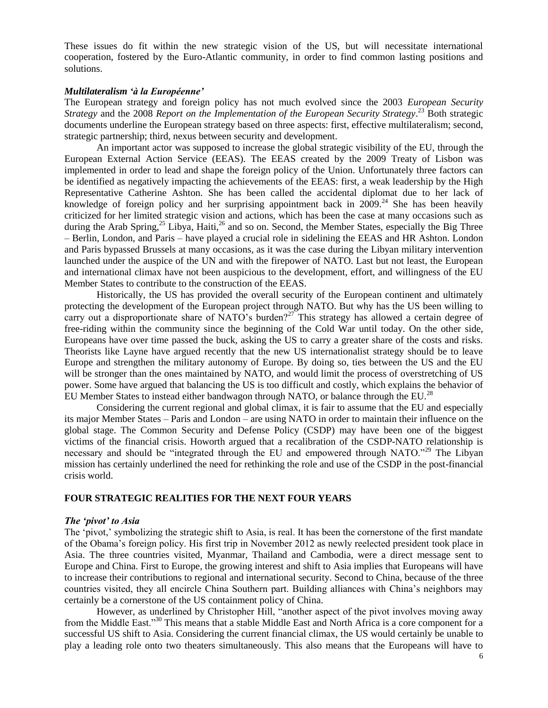These issues do fit within the new strategic vision of the US, but will necessitate international cooperation, fostered by the Euro-Atlantic community, in order to find common lasting positions and solutions.

### *Multilateralism 'à la Européenne'*

The European strategy and foreign policy has not much evolved since the 2003 *European Security Strategy* and the 2008 *Report on the Implementation of the European Security Strategy*. <sup>23</sup> Both strategic documents underline the European strategy based on three aspects: first, effective multilateralism; second, strategic partnership; third, nexus between security and development.

An important actor was supposed to increase the global strategic visibility of the EU, through the European External Action Service (EEAS). The EEAS created by the 2009 Treaty of Lisbon was implemented in order to lead and shape the foreign policy of the Union. Unfortunately three factors can be identified as negatively impacting the achievements of the EEAS: first, a weak leadership by the High Representative Catherine Ashton. She has been called the accidental diplomat due to her lack of knowledge of foreign policy and her surprising appointment back in  $2009$ .<sup>24</sup> She has been heavily criticized for her limited strategic vision and actions, which has been the case at many occasions such as during the Arab Spring,<sup>25</sup> Libya, Haiti,<sup>26</sup> and so on. Second, the Member States, especially the Big Three – Berlin, London, and Paris – have played a crucial role in sidelining the EEAS and HR Ashton. London and Paris bypassed Brussels at many occasions, as it was the case during the Libyan military intervention launched under the auspice of the UN and with the firepower of NATO. Last but not least, the European and international climax have not been auspicious to the development, effort, and willingness of the EU Member States to contribute to the construction of the EEAS.

Historically, the US has provided the overall security of the European continent and ultimately protecting the development of the European project through NATO. But why has the US been willing to carry out a disproportionate share of NATO's burden?<sup>27</sup> This strategy has allowed a certain degree of free-riding within the community since the beginning of the Cold War until today. On the other side, Europeans have over time passed the buck, asking the US to carry a greater share of the costs and risks. Theorists like Layne have argued recently that the new US internationalist strategy should be to leave Europe and strengthen the military autonomy of Europe. By doing so, ties between the US and the EU will be stronger than the ones maintained by NATO, and would limit the process of overstretching of US power. Some have argued that balancing the US is too difficult and costly, which explains the behavior of EU Member States to instead either bandwagon through NATO, or balance through the EU.<sup>28</sup>

Considering the current regional and global climax, it is fair to assume that the EU and especially its major Member States – Paris and London – are using NATO in order to maintain their influence on the global stage. The Common Security and Defense Policy (CSDP) may have been one of the biggest victims of the financial crisis. Howorth argued that a recalibration of the CSDP-NATO relationship is necessary and should be "integrated through the EU and empowered through NATO."<sup>29</sup> The Libyan mission has certainly underlined the need for rethinking the role and use of the CSDP in the post-financial crisis world.

#### **FOUR STRATEGIC REALITIES FOR THE NEXT FOUR YEARS**

#### *The 'pivot' to Asia*

The 'pivot,' symbolizing the strategic shift to Asia, is real. It has been the cornerstone of the first mandate of the Obama's foreign policy. His first trip in November 2012 as newly reelected president took place in Asia. The three countries visited, Myanmar, Thailand and Cambodia, were a direct message sent to Europe and China. First to Europe, the growing interest and shift to Asia implies that Europeans will have to increase their contributions to regional and international security. Second to China, because of the three countries visited, they all encircle China Southern part. Building alliances with China's neighbors may certainly be a cornerstone of the US containment policy of China.

However, as underlined by Christopher Hill, "another aspect of the pivot involves moving away from the Middle East."<sup>30</sup> This means that a stable Middle East and North Africa is a core component for a successful US shift to Asia. Considering the current financial climax, the US would certainly be unable to play a leading role onto two theaters simultaneously. This also means that the Europeans will have to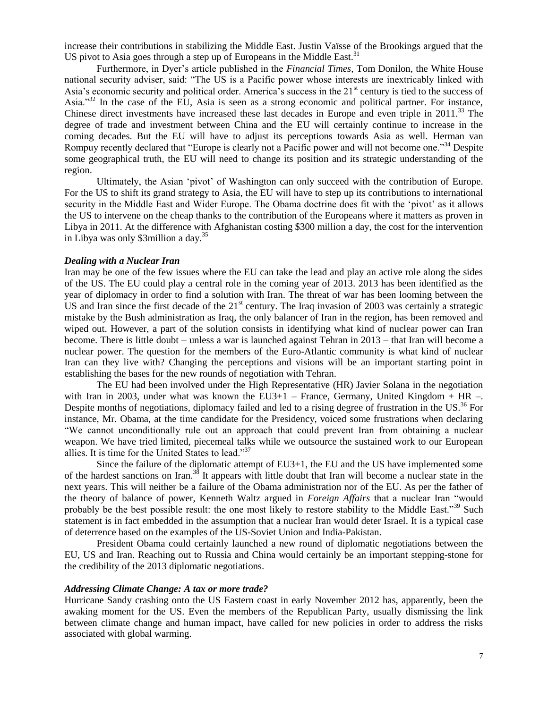increase their contributions in stabilizing the Middle East. Justin Vaïsse of the Brookings argued that the US pivot to Asia goes through a step up of Europeans in the Middle East.<sup>31</sup>

Furthermore, in Dyer's article published in the *Financial Times,* Tom Donilon, the White House national security adviser, said: "The US is a Pacific power whose interests are inextricably linked with Asia's economic security and political order. America's success in the 21<sup>st</sup> century is tied to the success of Asia."<sup>32</sup> In the case of the EU, Asia is seen as a strong economic and political partner. For instance, Chinese direct investments have increased these last decades in Europe and even triple in 2011.<sup>33</sup> The degree of trade and investment between China and the EU will certainly continue to increase in the coming decades. But the EU will have to adjust its perceptions towards Asia as well. Herman van Rompuy recently declared that "Europe is clearly not a Pacific power and will not become one."<sup>34</sup> Despite some geographical truth, the EU will need to change its position and its strategic understanding of the region.

Ultimately, the Asian 'pivot' of Washington can only succeed with the contribution of Europe. For the US to shift its grand strategy to Asia, the EU will have to step up its contributions to international security in the Middle East and Wider Europe. The Obama doctrine does fit with the 'pivot' as it allows the US to intervene on the cheap thanks to the contribution of the Europeans where it matters as proven in Libya in 2011. At the difference with Afghanistan costing \$300 million a day, the cost for the intervention in Libya was only \$3million a day.<sup>35</sup>

### *Dealing with a Nuclear Iran*

Iran may be one of the few issues where the EU can take the lead and play an active role along the sides of the US. The EU could play a central role in the coming year of 2013. 2013 has been identified as the year of diplomacy in order to find a solution with Iran. The threat of war has been looming between the US and Iran since the first decade of the  $21<sup>st</sup>$  century. The Iraq invasion of 2003 was certainly a strategic mistake by the Bush administration as Iraq, the only balancer of Iran in the region, has been removed and wiped out. However, a part of the solution consists in identifying what kind of nuclear power can Iran become. There is little doubt – unless a war is launched against Tehran in 2013 – that Iran will become a nuclear power. The question for the members of the Euro-Atlantic community is what kind of nuclear Iran can they live with? Changing the perceptions and visions will be an important starting point in establishing the bases for the new rounds of negotiation with Tehran.

The EU had been involved under the High Representative (HR) Javier Solana in the negotiation with Iran in 2003, under what was known the EU3+1 – France, Germany, United Kingdom + HR –. Despite months of negotiations, diplomacy failed and led to a rising degree of frustration in the US.<sup>36</sup> For instance, Mr. Obama, at the time candidate for the Presidency, voiced some frustrations when declaring "We cannot unconditionally rule out an approach that could prevent Iran from obtaining a nuclear weapon. We have tried limited, piecemeal talks while we outsource the sustained work to our European allies. It is time for the United States to lead."<sup>37</sup>

Since the failure of the diplomatic attempt of EU3+1, the EU and the US have implemented some of the hardest sanctions on Iran.<sup>38</sup> It appears with little doubt that Iran will become a nuclear state in the next years. This will neither be a failure of the Obama administration nor of the EU. As per the father of the theory of balance of power, Kenneth Waltz argued in *Foreign Affairs* that a nuclear Iran "would probably be the best possible result: the one most likely to restore stability to the Middle East."<sup>39</sup> Such statement is in fact embedded in the assumption that a nuclear Iran would deter Israel. It is a typical case of deterrence based on the examples of the US-Soviet Union and India-Pakistan.

President Obama could certainly launched a new round of diplomatic negotiations between the EU, US and Iran. Reaching out to Russia and China would certainly be an important stepping-stone for the credibility of the 2013 diplomatic negotiations.

#### *Addressing Climate Change: A tax or more trade?*

Hurricane Sandy crashing onto the US Eastern coast in early November 2012 has, apparently, been the awaking moment for the US. Even the members of the Republican Party, usually dismissing the link between climate change and human impact, have called for new policies in order to address the risks associated with global warming.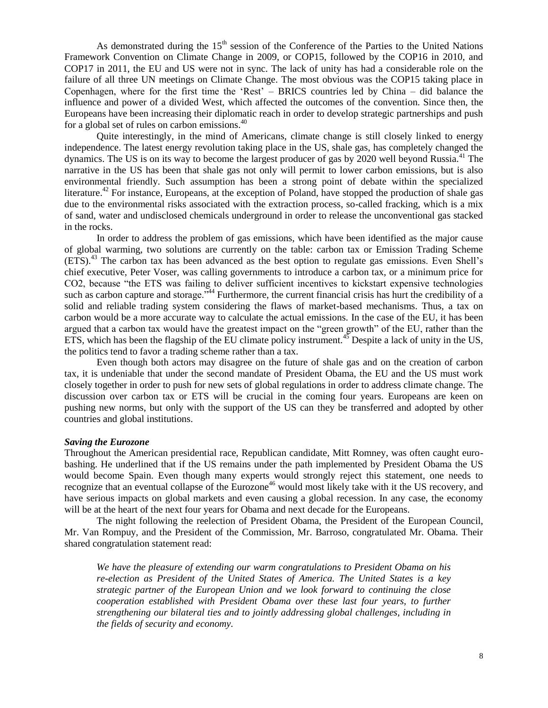As demonstrated during the  $15<sup>th</sup>$  session of the Conference of the Parties to the United Nations Framework Convention on Climate Change in 2009, or COP15, followed by the COP16 in 2010, and COP17 in 2011, the EU and US were not in sync. The lack of unity has had a considerable role on the failure of all three UN meetings on Climate Change. The most obvious was the COP15 taking place in Copenhagen, where for the first time the 'Rest' – BRICS countries led by China – did balance the influence and power of a divided West, which affected the outcomes of the convention. Since then, the Europeans have been increasing their diplomatic reach in order to develop strategic partnerships and push for a global set of rules on carbon emissions. $40$ 

Quite interestingly, in the mind of Americans, climate change is still closely linked to energy independence. The latest energy revolution taking place in the US, shale gas, has completely changed the dynamics. The US is on its way to become the largest producer of gas by 2020 well beyond Russia.<sup>41</sup> The narrative in the US has been that shale gas not only will permit to lower carbon emissions, but is also environmental friendly. Such assumption has been a strong point of debate within the specialized literature.<sup>42</sup> For instance, Europeans, at the exception of Poland, have stopped the production of shale gas due to the environmental risks associated with the extraction process, so-called fracking, which is a mix of sand, water and undisclosed chemicals underground in order to release the unconventional gas stacked in the rocks.

In order to address the problem of gas emissions, which have been identified as the major cause of global warming, two solutions are currently on the table: carbon tax or Emission Trading Scheme (ETS).<sup>43</sup> The carbon tax has been advanced as the best option to regulate gas emissions. Even Shell's chief executive, Peter Voser, was calling governments to introduce a carbon tax, or a minimum price for CO2, because "the ETS was failing to deliver sufficient incentives to kickstart expensive technologies such as carbon capture and storage.<sup>744</sup> Furthermore, the current financial crisis has hurt the credibility of a solid and reliable trading system considering the flaws of market-based mechanisms. Thus, a tax on carbon would be a more accurate way to calculate the actual emissions. In the case of the EU, it has been argued that a carbon tax would have the greatest impact on the "green growth" of the EU, rather than the ETS, which has been the flagship of the EU climate policy instrument.<sup>45</sup> Despite a lack of unity in the US, the politics tend to favor a trading scheme rather than a tax.

Even though both actors may disagree on the future of shale gas and on the creation of carbon tax, it is undeniable that under the second mandate of President Obama, the EU and the US must work closely together in order to push for new sets of global regulations in order to address climate change. The discussion over carbon tax or ETS will be crucial in the coming four years. Europeans are keen on pushing new norms, but only with the support of the US can they be transferred and adopted by other countries and global institutions.

### *Saving the Eurozone*

Throughout the American presidential race, Republican candidate, Mitt Romney, was often caught eurobashing. He underlined that if the US remains under the path implemented by President Obama the US would become Spain. Even though many experts would strongly reject this statement, one needs to recognize that an eventual collapse of the Eurozone<sup>46</sup> would most likely take with it the US recovery, and have serious impacts on global markets and even causing a global recession. In any case, the economy will be at the heart of the next four years for Obama and next decade for the Europeans.

The night following the reelection of President Obama, the President of the European Council, Mr. Van Rompuy, and the President of the Commission, Mr. Barroso, congratulated Mr. Obama. Their shared congratulation statement read:

*We have the pleasure of extending our warm congratulations to President Obama on his re-election as President of the United States of America. The United States is a key strategic partner of the European Union and we look forward to continuing the close cooperation established with President Obama over these last four years, to further strengthening our bilateral ties and to jointly addressing global challenges, including in the fields of security and economy.*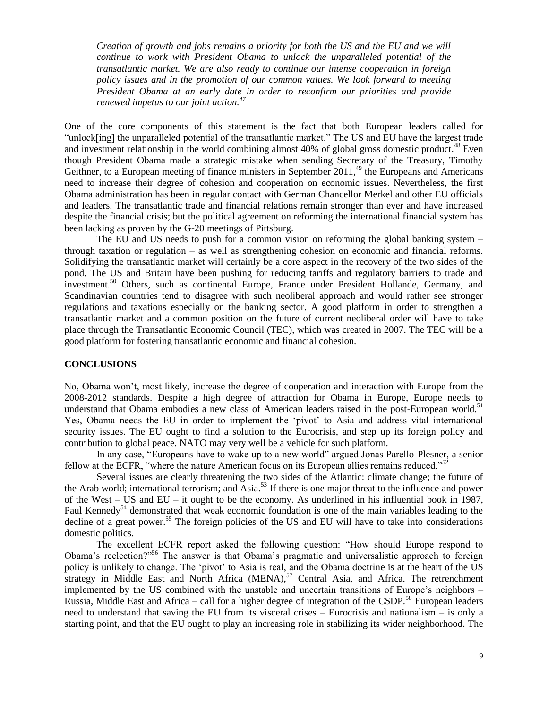*Creation of growth and jobs remains a priority for both the US and the EU and we will continue to work with President Obama to unlock the unparalleled potential of the transatlantic market. We are also ready to continue our intense cooperation in foreign policy issues and in the promotion of our common values. We look forward to meeting President Obama at an early date in order to reconfirm our priorities and provide renewed impetus to our joint action.<sup>47</sup>*

One of the core components of this statement is the fact that both European leaders called for "unlock[ing] the unparalleled potential of the transatlantic market." The US and EU have the largest trade and investment relationship in the world combining almost  $40\%$  of global gross domestic product.<sup>48</sup> Even though President Obama made a strategic mistake when sending Secretary of the Treasury, Timothy Geithner, to a European meeting of finance ministers in September  $2011<sup>49</sup>$ , the Europeans and Americans need to increase their degree of cohesion and cooperation on economic issues. Nevertheless, the first Obama administration has been in regular contact with German Chancellor Merkel and other EU officials and leaders. The transatlantic trade and financial relations remain stronger than ever and have increased despite the financial crisis; but the political agreement on reforming the international financial system has been lacking as proven by the G-20 meetings of Pittsburg.

The EU and US needs to push for a common vision on reforming the global banking system – through taxation or regulation – as well as strengthening cohesion on economic and financial reforms. Solidifying the transatlantic market will certainly be a core aspect in the recovery of the two sides of the pond. The US and Britain have been pushing for reducing tariffs and regulatory barriers to trade and investment.<sup>50</sup> Others, such as continental Europe, France under President Hollande, Germany, and Scandinavian countries tend to disagree with such neoliberal approach and would rather see stronger regulations and taxations especially on the banking sector. A good platform in order to strengthen a transatlantic market and a common position on the future of current neoliberal order will have to take place through the Transatlantic Economic Council (TEC), which was created in 2007. The TEC will be a good platform for fostering transatlantic economic and financial cohesion.

## **CONCLUSIONS**

No, Obama won't, most likely, increase the degree of cooperation and interaction with Europe from the 2008-2012 standards. Despite a high degree of attraction for Obama in Europe, Europe needs to understand that Obama embodies a new class of American leaders raised in the post-European world.<sup>51</sup> Yes, Obama needs the EU in order to implement the 'pivot' to Asia and address vital international security issues. The EU ought to find a solution to the Eurocrisis, and step up its foreign policy and contribution to global peace. NATO may very well be a vehicle for such platform.

In any case, "Europeans have to wake up to a new world" argued Jonas Parello-Plesner, a senior fellow at the ECFR, "where the nature American focus on its European allies remains reduced."<sup>52</sup>

Several issues are clearly threatening the two sides of the Atlantic: climate change; the future of the Arab world; international terrorism; and  $\overline{Asia}$ .<sup>53</sup> If there is one major threat to the influence and power of the West – US and EU – it ought to be the economy. As underlined in his influential book in 1987, Paul Kennedy<sup>54</sup> demonstrated that weak economic foundation is one of the main variables leading to the decline of a great power.<sup>55</sup> The foreign policies of the US and EU will have to take into considerations domestic politics.

The excellent ECFR report asked the following question: "How should Europe respond to Obama's reelection?"<sup>56</sup> The answer is that Obama's pragmatic and universalistic approach to foreign policy is unlikely to change. The 'pivot' to Asia is real, and the Obama doctrine is at the heart of the US strategy in Middle East and North Africa (MENA), $57$  Central Asia, and Africa. The retrenchment implemented by the US combined with the unstable and uncertain transitions of Europe's neighbors – Russia, Middle East and Africa – call for a higher degree of integration of the CSDP.<sup>58</sup> European leaders need to understand that saving the EU from its visceral crises – Eurocrisis and nationalism – is only a starting point, and that the EU ought to play an increasing role in stabilizing its wider neighborhood. The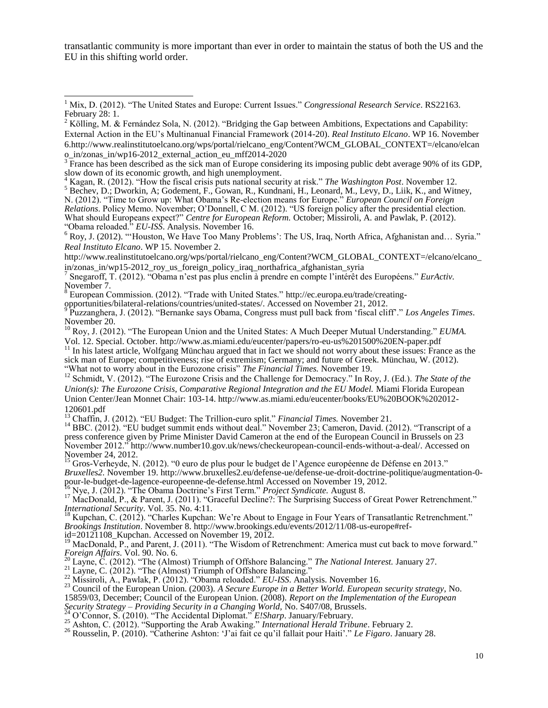transatlantic community is more important than ever in order to maintain the status of both the US and the EU in this shifting world order.

<sup>4</sup> Kagan, R. (2012). "How the fiscal crisis puts national security at risk." *The Washington Post*. November 12. 5 Bechev, D.; Dworkin, A; Godement, F., Gowan, R., Kundnani, H., Leonard, M., Levy, D., Liik, K., and Witney, N. (2012). "Time to Grow up: What Obama's Re-election means for Europe." *European Council on Foreign Relations*. Policy Memo. November; O'Donnell, C M. (2012). "US foreign policy after the presidential election. What should Europeans expect?" *Centre for European Reform.* October; Missiroli, A. and Pawlak, P. (2012). "Obama reloaded." *EU-ISS*. Analysis. November 16.

<sup>6</sup> Roy, J. (2012). "'Houston, We Have Too Many Problems': The US, Iraq, North Africa, Afghanistan and… Syria." *Real Instituto Elcano*. WP 15. November 2.

http://www.realinstitutoelcano.org/wps/portal/rielcano\_eng/Content?WCM\_GLOBAL\_CONTEXT=/elcano/elcano\_ in/zonas\_in/wp15-2012\_roy\_us\_foreign\_policy\_iraq\_northafrica\_afghanistan\_syria

<sup>8</sup> European Commission. (2012). "Trade with United States." [http://ec.europa.eu/trade/creating-](http://ec.europa.eu/trade/creating-opportunities/bilateral-relations/countries/united-states/)

[opportunities/bilateral-relations/countries/united-states/.](http://ec.europa.eu/trade/creating-opportunities/bilateral-relations/countries/united-states/) Accessed on November 21, 2012. 9

Puzzanghera, J. (2012). "Bernanke says Obama, Congress must pull back from 'fiscal cliff'." *Los Angeles Times*. November 20.

<sup>10</sup> Roy, J. (2012). "The European Union and the United States: A Much Deeper Mutual Understanding." *EUMA.*

Vol. 12. Special. October. http://www.as.miami.edu/eucenter/papers/ro-eu-us%201500%20EN-paper.pdf

 $11$  In his latest article, Wolfgang Münchau argued that in fact we should not worry about these issues: France as the sick man of Europe; competitiveness; rise of extremism; Germany; and future of Greek. Münchau, W. (2012). "What not to worry about in the Eurozone crisis" *The Financial Times.* November 19.

<sup>12</sup> Schmidt, V. (2012). "The Eurozone Crisis and the Challenge for Democracy." In Roy, J. (Ed.). *The State of the Union(s): The Eurozone Crisis, Comparative Regional Integration and the EU Model.* Miami Florida European Union Center/Jean Monnet Chair: 103-14. http://www.as.miami.edu/eucenter/books/EU%20BOOK%202012- 120601.pdf

<sup>13</sup> Chaffin, J. (2012). "EU Budget: The Trillion-euro split." *Financial Times.* November 21.

<sup>14</sup> BBC. (2012). "EU budget summit ends without deal." November 23; Cameron, David. (2012). "Transcript of a press conference given by Prime Minister David Cameron at the end of the European Council in Brussels on 23 November 2012." [http://www.number10.gov.uk/news/checkeuropean-council-ends-without-a-deal/.](http://www.number10.gov.uk/news/checkeuropean-council-ends-without-a-deal/) Accessed on November 24, 2012.

<sup>15</sup> Gros-Verheyde, N. (2012). "0 euro de plus pour le budget de l'Agence européenne de Défense en 2013." *Bruxelles2.* November 19. http://www.bruxelles2.eu/defense-ue/defense-ue-droit-doctrine-politique/augmentation-0 pour-le-budget-de-lagence-europeenne-de-defense.html Accessed on November 19, 2012.

<sup>16</sup> Nye, J. (2012). "The Obama Doctrine's First Term." *Project Syndicate.* August 8.

<sup>17</sup> MacDonald, P., & Parent, J. (2011). "Graceful Decline?: The Surprising Success of Great Power Retrenchment." *International Security*. Vol. 35. No. 4:11.

<sup>18</sup> Kupchan, C. (2012). "Charles Kupchan: We're About to Engage in Four Years of Transatlantic Retrenchment." *Brookings Institution*. November 8. [http://www.brookings.edu/events/2012/11/08-us-europe#ref-](http://www.brookings.edu/events/2012/11/08-us-europe#ref-id=20121108_Kupchan)

[id=20121108\\_Kupchan.](http://www.brookings.edu/events/2012/11/08-us-europe#ref-id=20121108_Kupchan) Accessed on November 19, 2012.

<sup>19</sup> MacDonald, P., and Parent, J. (2011). "The Wisdom of Retrenchment: America must cut back to move forward." *Foreign Affairs*. Vol. 90. No. 6.

<sup>20</sup> Layne, C. (2012). "The (Almost) Triumph of Offshore Balancing." *The National Interest.* January 27.

 $^{21}$  Layne, C. (2012). "The (Almost) Triumph of Offshore Balancing."

<sup>22</sup> Missiroli, A., Pawlak, P. (2012). "Obama reloaded." *EU-ISS*. Analysis. November 16.

<sup>23</sup> Council of the European Union. (2003). *A Secure Europe in a Better World. European security strategy,* No. 15859/03, December; Council of the European Union. (2008). *Report on the Implementation of the European Security Strategy – Providing Security in a Changing World,* No. S407/08, Brussels.

<sup>24</sup> O'Connor, S. (2010). "The Accidental Diplomat." *E!Sharp*. January/February.

<sup>25</sup> Ashton, C. (2012). "Supporting the Arab Awaking." *International Herald Tribune*. February 2.

<sup>26</sup> Rousselin, P. (2010). "Catherine Ashton: 'J'ai fait ce qu'il fallait pour Haiti'." *Le Figaro*. January 28.

 $\overline{\phantom{a}}$ <sup>1</sup> Mix, D. (2012). "The United States and Europe: Current Issues." *Congressional Research Service*. RS22163. February 28: 1.

 $2$  Kölling, M. & Fernández Sola, N. (2012). "Bridging the Gap between Ambitions, Expectations and Capability: External Action in the EU's Multinanual Financial Framework (2014-20). *Real Instituto Elcano*. WP 16. November 6.http://www.realinstitutoelcano.org/wps/portal/rielcano\_eng/Content?WCM\_GLOBAL\_CONTEXT=/elcano/elcan o\_in/zonas\_in/wp16-2012\_external\_action\_eu\_mff2014-2020

 $\overline{3}$  France has been described as the sick man of Europe considering its imposing public debt average 90% of its GDP, slow down of its economic growth, and high unemployment.

<sup>7</sup> Snegaroff, T. (2012). "Obama n'est pas plus enclin à prendre en compte l'intérêt des Européens." *EurActiv.*  November 7.